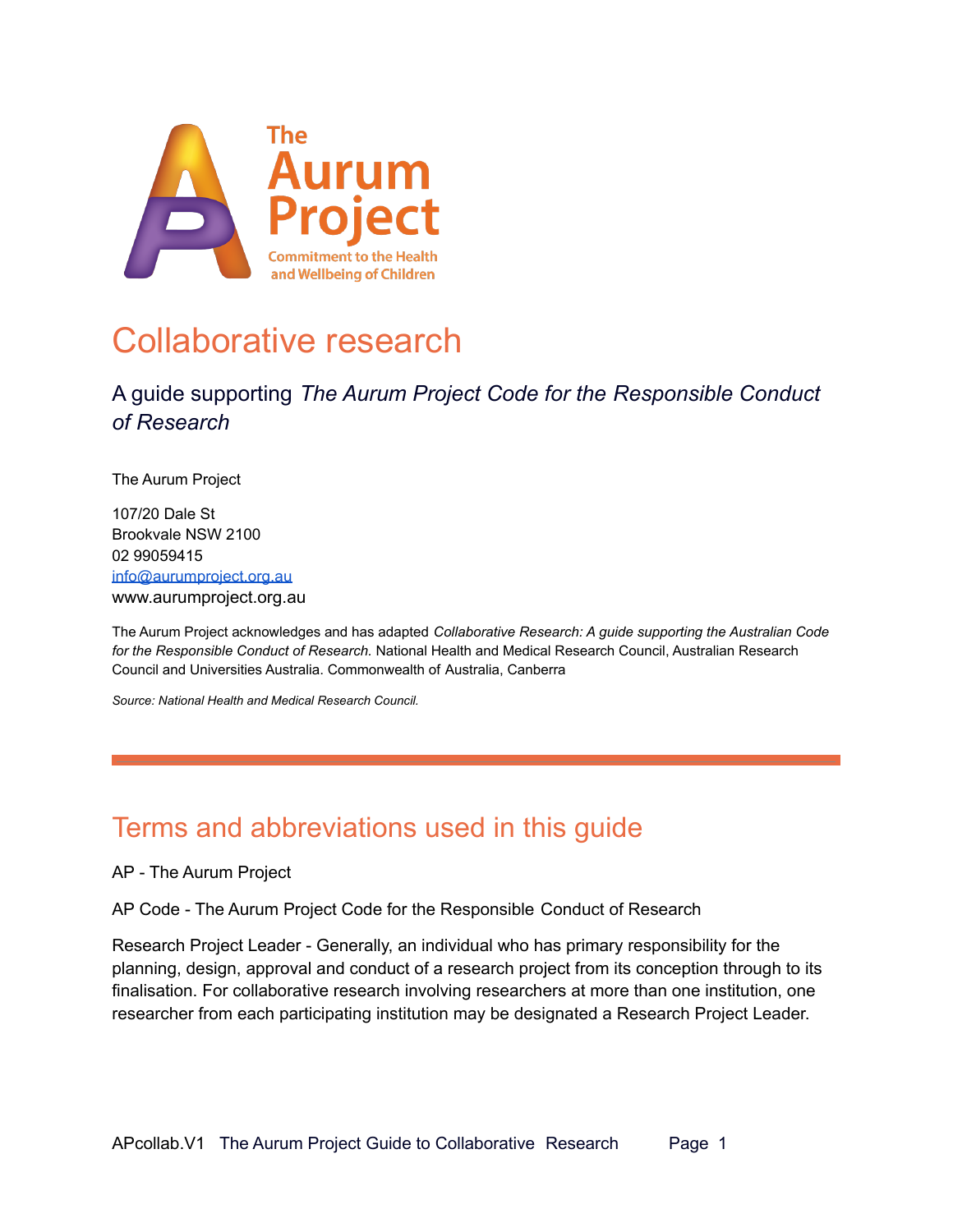

## Collaborative research

### A guide supporting *The Aurum Project Code for the Responsible Conduct of Research*

The Aurum Project

107/20 Dale St Brookvale NSW 2100 02 99059415 [info@aurumproject.org.au](mailto:info@aurumproject.org.au) www.aurumproject.org.au

The Aurum Project acknowledges and has adapted *Collaborative Research: A guide supporting the Australian Code for the Responsible Conduct of Research.* National Health and Medical Research Council, Australian Research Council and Universities Australia. Commonwealth of Australia, Canberra

*Source: National Health and Medical Research Council.*

## Terms and abbreviations used in this guide

AP - The Aurum Project

AP Code - The Aurum Project Code for the Responsible Conduct of Research

Research Project Leader - Generally, an individual who has primary responsibility for the planning, design, approval and conduct of a research project from its conception through to its finalisation. For collaborative research involving researchers at more than one institution, one researcher from each participating institution may be designated a Research Project Leader.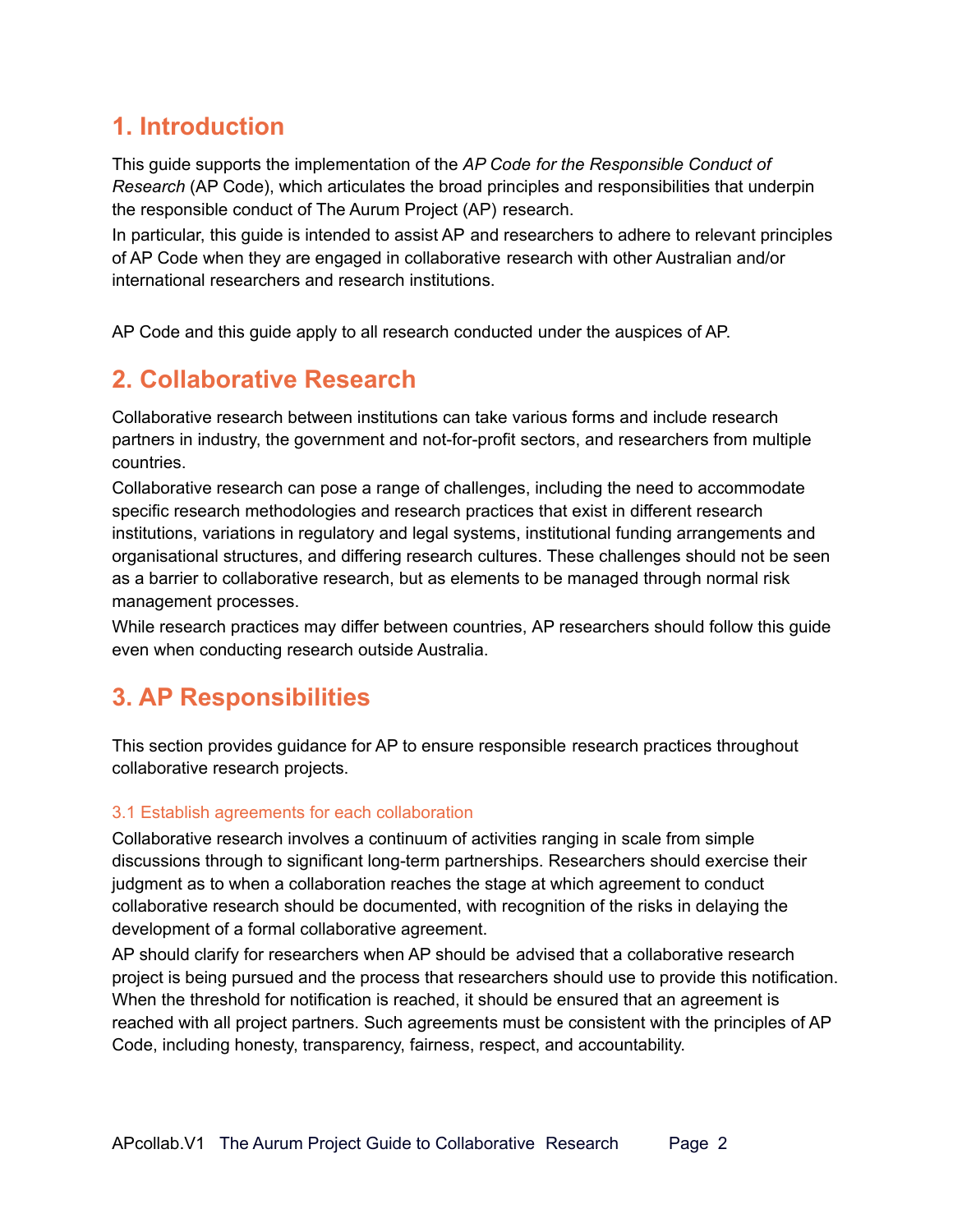### **1. Introduction**

This guide supports the implementation of the *AP Code for the Responsible Conduct of Research* (AP Code), which articulates the broad principles and responsibilities that underpin the responsible conduct of The Aurum Project (AP) research.

In particular, this guide is intended to assist AP and researchers to adhere to relevant principles of AP Code when they are engaged in collaborative research with other Australian and/or international researchers and research institutions.

AP Code and this guide apply to all research conducted under the auspices of AP.

### **2. Collaborative Research**

Collaborative research between institutions can take various forms and include research partners in industry, the government and not-for-profit sectors, and researchers from multiple countries.

Collaborative research can pose a range of challenges, including the need to accommodate specific research methodologies and research practices that exist in different research institutions, variations in regulatory and legal systems, institutional funding arrangements and organisational structures, and differing research cultures. These challenges should not be seen as a barrier to collaborative research, but as elements to be managed through normal risk management processes.

While research practices may differ between countries, AP researchers should follow this guide even when conducting research outside Australia.

### **3. AP Responsibilities**

This section provides guidance for AP to ensure responsible research practices throughout collaborative research projects.

#### 3.1 Establish agreements for each collaboration

Collaborative research involves a continuum of activities ranging in scale from simple discussions through to significant long-term partnerships. Researchers should exercise their judgment as to when a collaboration reaches the stage at which agreement to conduct collaborative research should be documented, with recognition of the risks in delaying the development of a formal collaborative agreement.

AP should clarify for researchers when AP should be advised that a collaborative research project is being pursued and the process that researchers should use to provide this notification. When the threshold for notification is reached, it should be ensured that an agreement is reached with all project partners. Such agreements must be consistent with the principles of AP Code, including honesty, transparency, fairness, respect, and accountability.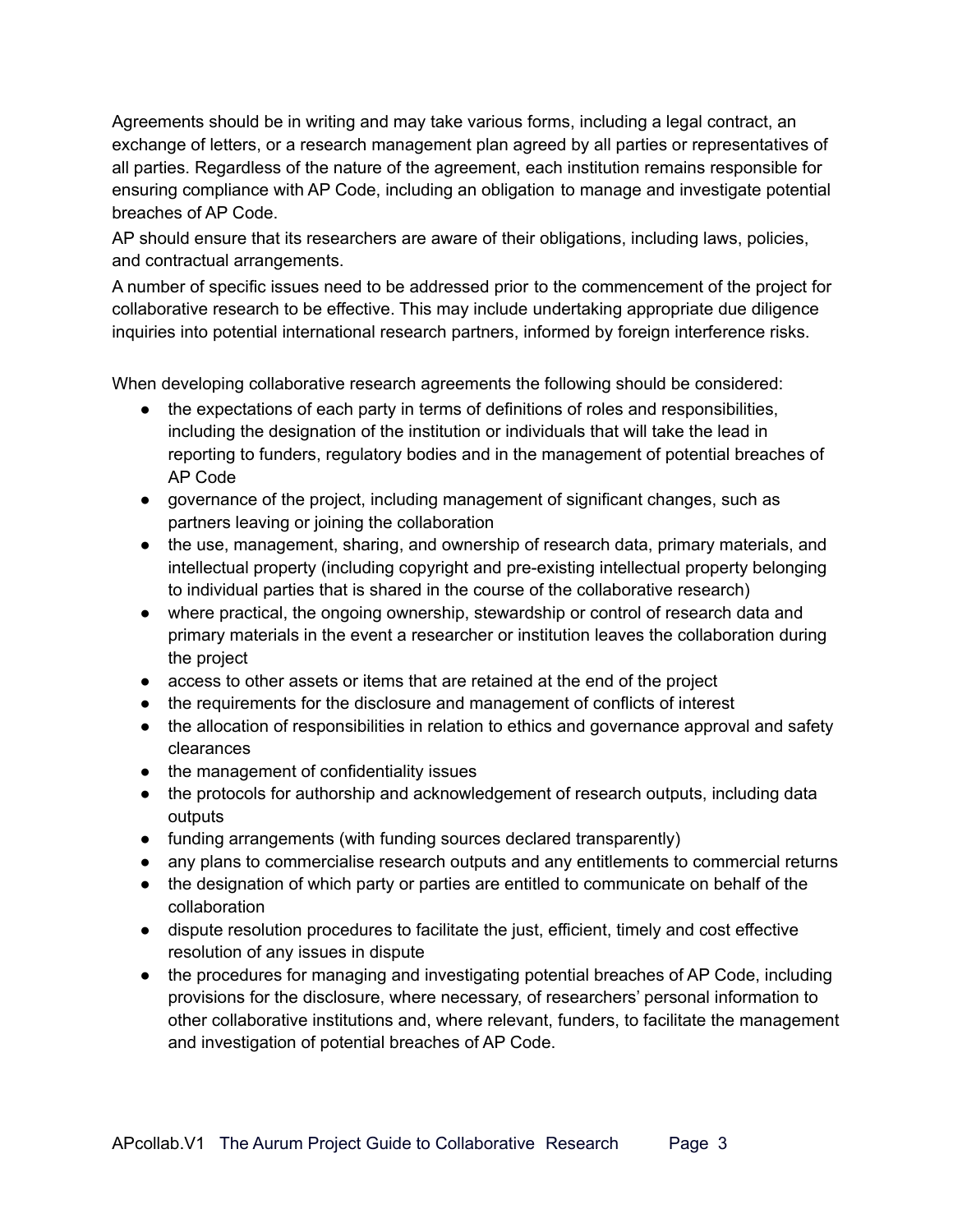Agreements should be in writing and may take various forms, including a legal contract, an exchange of letters, or a research management plan agreed by all parties or representatives of all parties. Regardless of the nature of the agreement, each institution remains responsible for ensuring compliance with AP Code, including an obligation to manage and investigate potential breaches of AP Code.

AP should ensure that its researchers are aware of their obligations, including laws, policies, and contractual arrangements.

A number of specific issues need to be addressed prior to the commencement of the project for collaborative research to be effective. This may include undertaking appropriate due diligence inquiries into potential international research partners, informed by foreign interference risks.

When developing collaborative research agreements the following should be considered:

- the expectations of each party in terms of definitions of roles and responsibilities, including the designation of the institution or individuals that will take the lead in reporting to funders, regulatory bodies and in the management of potential breaches of AP Code
- governance of the project, including management of significant changes, such as partners leaving or joining the collaboration
- the use, management, sharing, and ownership of research data, primary materials, and intellectual property (including copyright and pre-existing intellectual property belonging to individual parties that is shared in the course of the collaborative research)
- where practical, the ongoing ownership, stewardship or control of research data and primary materials in the event a researcher or institution leaves the collaboration during the project
- access to other assets or items that are retained at the end of the project
- the requirements for the disclosure and management of conflicts of interest
- the allocation of responsibilities in relation to ethics and governance approval and safety clearances
- the management of confidentiality issues
- the protocols for authorship and acknowledgement of research outputs, including data outputs
- funding arrangements (with funding sources declared transparently)
- any plans to commercialise research outputs and any entitlements to commercial returns
- the designation of which party or parties are entitled to communicate on behalf of the collaboration
- dispute resolution procedures to facilitate the just, efficient, timely and cost effective resolution of any issues in dispute
- the procedures for managing and investigating potential breaches of AP Code, including provisions for the disclosure, where necessary, of researchers' personal information to other collaborative institutions and, where relevant, funders, to facilitate the management and investigation of potential breaches of AP Code.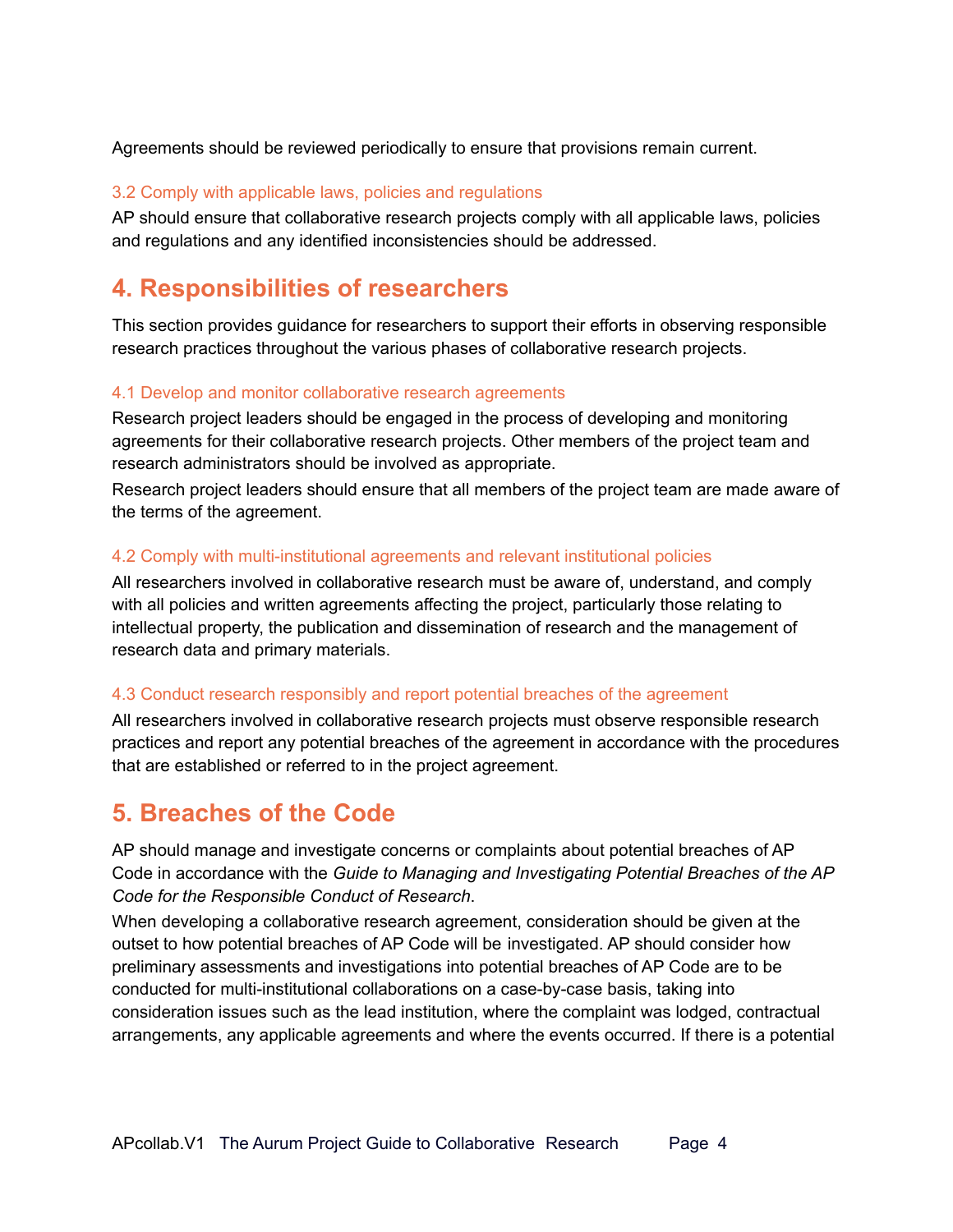Agreements should be reviewed periodically to ensure that provisions remain current.

#### 3.2 Comply with applicable laws, policies and regulations

AP should ensure that collaborative research projects comply with all applicable laws, policies and regulations and any identified inconsistencies should be addressed.

### **4. Responsibilities of researchers**

This section provides guidance for researchers to support their efforts in observing responsible research practices throughout the various phases of collaborative research projects.

#### 4.1 Develop and monitor collaborative research agreements

Research project leaders should be engaged in the process of developing and monitoring agreements for their collaborative research projects. Other members of the project team and research administrators should be involved as appropriate.

Research project leaders should ensure that all members of the project team are made aware of the terms of the agreement.

#### 4.2 Comply with multi-institutional agreements and relevant institutional policies

All researchers involved in collaborative research must be aware of, understand, and comply with all policies and written agreements affecting the project, particularly those relating to intellectual property, the publication and dissemination of research and the management of research data and primary materials.

#### 4.3 Conduct research responsibly and report potential breaches of the agreement

All researchers involved in collaborative research projects must observe responsible research practices and report any potential breaches of the agreement in accordance with the procedures that are established or referred to in the project agreement.

### **5. Breaches of the Code**

AP should manage and investigate concerns or complaints about potential breaches of AP Code in accordance with the *Guide to Managing and Investigating Potential Breaches of the AP Code for the Responsible Conduct of Research*.

When developing a collaborative research agreement, consideration should be given at the outset to how potential breaches of AP Code will be investigated. AP should consider how preliminary assessments and investigations into potential breaches of AP Code are to be conducted for multi-institutional collaborations on a case-by-case basis, taking into consideration issues such as the lead institution, where the complaint was lodged, contractual arrangements, any applicable agreements and where the events occurred. If there is a potential